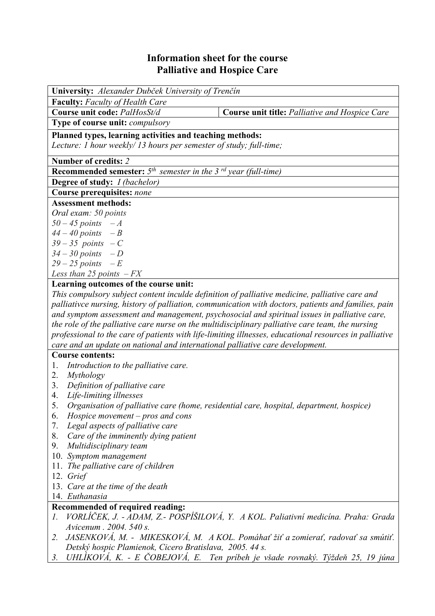## **Information sheet for the course Palliative and Hospice Care**

| University: Alexander Dubček University of Trenčín                                                     |                                                |  |  |  |  |
|--------------------------------------------------------------------------------------------------------|------------------------------------------------|--|--|--|--|
| <b>Faculty:</b> Faculty of Health Care                                                                 |                                                |  |  |  |  |
| Course unit code: PalHosSt/d                                                                           | Course unit title: Palliative and Hospice Care |  |  |  |  |
| Type of course unit: <i>compulsory</i>                                                                 |                                                |  |  |  |  |
| Planned types, learning activities and teaching methods:                                               |                                                |  |  |  |  |
| Lecture: 1 hour weekly/13 hours per semester of study; full-time;                                      |                                                |  |  |  |  |
| Number of credits: 2                                                                                   |                                                |  |  |  |  |
| <b>Recommended semester:</b> $5th$ semester in the 3 <sup>rd</sup> year (full-time)                    |                                                |  |  |  |  |
| <b>Degree of study:</b> <i>I (bachelor)</i>                                                            |                                                |  |  |  |  |
| Course prerequisites: none                                                                             |                                                |  |  |  |  |
| <b>Assessment methods:</b>                                                                             |                                                |  |  |  |  |
| Oral exam: 50 points                                                                                   |                                                |  |  |  |  |
| $50 - 45$ points $-A$                                                                                  |                                                |  |  |  |  |
| $44 - 40$ points $-B$                                                                                  |                                                |  |  |  |  |
| $39-35$ points $-C$                                                                                    |                                                |  |  |  |  |
| $34 - 30$ points $-D$                                                                                  |                                                |  |  |  |  |
| $29 - 25$ points $-E$                                                                                  |                                                |  |  |  |  |
| Less than 25 points $-FX$                                                                              |                                                |  |  |  |  |
| Learning outcomes of the course unit:                                                                  |                                                |  |  |  |  |
| This compulsory subject content inculde definition of palliative medicine, palliative care and         |                                                |  |  |  |  |
| palliativce nursing, history of palliation, communication with doctors, patients and families, pain    |                                                |  |  |  |  |
| and symptom assessment and management, psychosocial and spiritual issues in palliative care,           |                                                |  |  |  |  |
| the role of the palliative care nurse on the multidisciplinary palliative care team, the nursing       |                                                |  |  |  |  |
| professional to the care of patients with life-limiting illnesses, educational resources in palliative |                                                |  |  |  |  |
| care and an update on national and international palliative care development.                          |                                                |  |  |  |  |
| <b>Course contents:</b>                                                                                |                                                |  |  |  |  |

- 1. *Introduction to the palliative care.*
- 2. *Mythology*
- 3. *Definition of palliative care*
- 4. *Life-limiting illnesses*
- 5. *Organisation of palliative care (home, residential care, hospital, department, hospice)*
- 6. *Hospice movement pros and cons*
- 7. *Legal aspects of palliative care*
- 8. *Care of the imminently dying patient*
- 9. *Multidisciplinary team*
- 10. *Symptom management*
- 11. *The palliative care of children*
- 12. *Grief*
- 13. *Care at the time of the death*
- 14. *Euthanasia*

## **Recommended of required reading:**

- *1. VORLÍČEK, J. ADAM, Z.- POSPÍŠILOVÁ, Y. A KOL. Paliativní medicína. Praha: Grada Avicenum . 2004. 540 s.*
- *2. JASENKOVÁ, M. MIKESKOVÁ, M. A KOL. Pomáhať žiť a zomierať, radovať sa smútiť. Detský hospic Plamienok, Cicero Bratislava, 2005. 44 s.*
- *3. UHLÍKOVÁ, K. E ČOBEJOVÁ, E. Ten príbeh je všade rovnaký. Týždeň 25, 19 júna*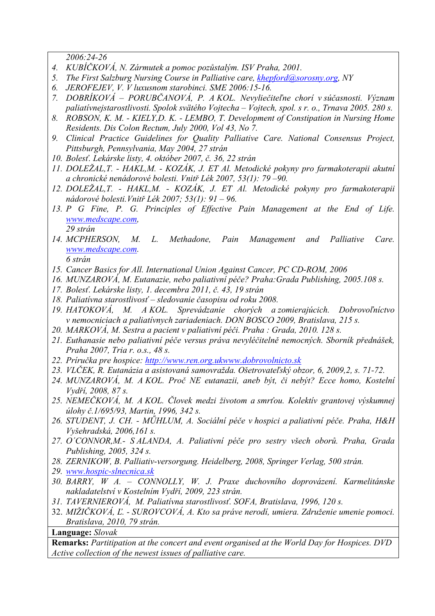*2006:24-26* 

- *4. KUBÍČKOVÁ, N. Zármutek a pomoc pozůstalým. ISV Praha, 2001.*
- *5. The First Salzburg Nursing Course in Palliative care, khepford@sorosny.org, NY*
- *6. JEROFEJEV, V. V luxusnom starobinci. SME 2006:15-16.*
- *7. DOBRÍKOVÁ PORUBČANOVÁ, P. A KOL. Nevyliečiteľne chorí v súčasnosti. Význam paliatívnejstarostlivosti. Spolok svätého Vojtecha – Vojtech, spol. s r. o., Trnava 2005. 280 s.*
- *8. ROBSON, K. M. KIELY,D. K. LEMBO, T. Development of Constipation in Nursing Home Residents. Dis Colon Rectum, July 2000, Vol 43, No 7.*
- *9. Clinical Practice Guidelines for Quality Palliative Care. National Consensus Project, Pittsburgh, Pennsylvania, May 2004, 27 strán*
- *10. Bolesť. Lekárske listy, 4. október 2007, č. 36, 22 strán*
- *11. DOLEŽAL,T. HAKL,M. KOZÁK, J. ET Al. Metodické pokyny pro farmakoterapii akutní a chronické nenádorové bolesti. Vnitř Lék 2007, 53(1): 79 –90.*
- *12. DOLEŽAL,T. HAKL,M. KOZÁK, J. ET Al. Metodické pokyny pro farmakoterapii nádorové bolesti.Vnitř Lék 2007; 53(1): 91 – 96.*
- *13. P G Fine, P. G. Principles of Effective Pain Management at the End of Life. www.medscape.com, 29 strán*
- *14. MCPHERSON, M. L. Methadone, Pain Management and Palliative Care. www.medscape.com.* 
	- *6 strán*
- *15. Cancer Basics for All. International Union Against Cancer, PC CD-ROM, 2006*
- *16. MUNZAROVÁ, M. Eutanazie, nebo paliativní péče? Praha:Grada Publishing, 2005.108 s.*
- *17. Bolesť. Lekárske listy, 1. decembra 2011, č. 43, 19 strán*
- *18. Paliatívna starostlivosť sledovanie časopisu od roku 2008.*
- *19. HATOKOVÁ, M. A KOL. Sprevádzanie chorých a zomierajúcich. Dobrovoľníctvo v nemocniciach a paliatívnych zariadeniach. DON BOSCO 2009, Bratislava, 215 s.*
- *20. MARKOVÁ, M. Sestra a pacient v paliativní péči. Praha : Grada, 2010. 128 s.*
- *21. Euthanasie nebo paliativní péče versus práva nevyléčitelně nemocných. Sborník přednášek, Praha 2007, Tria r. o.s., 48 s.*
- *22. Príručka pre hospice: http://www.ren.org.ukwww.dobrovolnicto.sk*
- *23. VLČEK, R. Eutanázia a asistovaná samovražda. Ošetrovateľský obzor, 6, 2009,2, s. 71-72.*
- *24. MUNZAROVÁ, M. A KOL. Proč NE eutanazii, aneb být, či nebýt? Ecce homo, Kostelní Vydří, 2008, 87 s.*
- *25. NEMEČKOVÁ, M. A KOL. Človek medzi životom a smrťou. Kolektív grantovej výskumnej úlohy č.1/695/93, Martin, 1996, 342 s.*
- *26. STUDENT, J. CH. MŰHLUM, A. Sociální péče v hospici a paliativní péče. Praha, H&H Vyšehradská, 2006,161 s.*
- *27. O´CONNOR,M.- S ALANDA, A. Paliativní péče pro sestry všech oborů. Praha, Grada Publishing, 2005, 324 s.*
- *28. ZERNIKOW, B. Palliativ-versorgung. Heidelberg, 2008, Springer Verlag, 500 strán.*
- *29. www.hospic-slnecnica.sk*
- *30. BARRY, W A. CONNOLLY, W. J. Praxe duchovního doprovázení. Karmelitánske nakladatelství v Kostelním Vydří, 2009, 223 strán.*
- *31. TAVERNIEROVÁ, M. Paliatívna starostlivosť. SOFA, Bratislava, 1996, 120 s.*
- 32. *MIŽIČKOVÁ, Ľ. SUROVCOVÁ, A. Kto sa práve nerodí, umiera. Združenie umenie pomoci. Bratislava, 2010, 79 strán.*

## **Language:** *Slovak*

**Remarks:** *Partitipation at the concert and event organised at the World Day for Hospices. DVD Active collection of the newest issues of palliative care.*